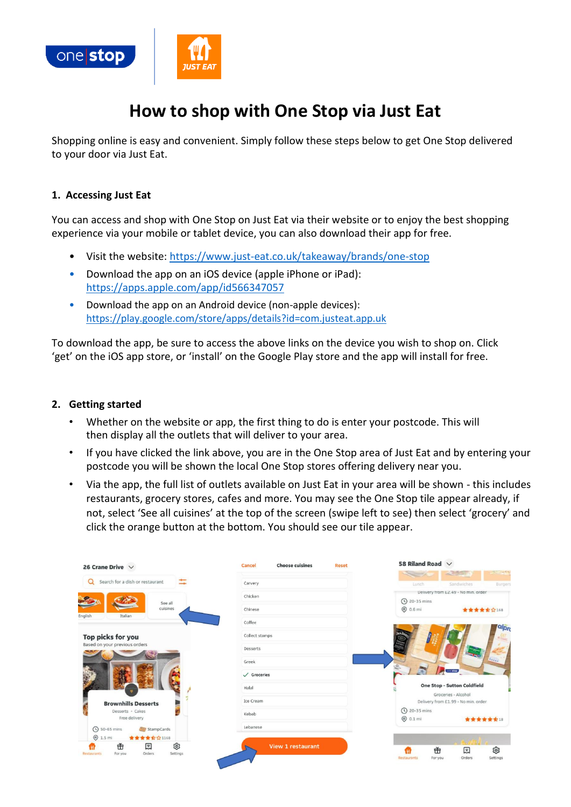

# **How to shop with One Stop via Just Eat**

Shopping online is easy and convenient. Simply follow these steps below to get One Stop delivered to your door via Just Eat.

#### **1. Accessing Just Eat**

You can access and shop with One Stop on Just Eat via their website or to enjoy the best shopping experience via your mobile or tablet device, you can also download their app for free.

- Visit the website:<https://www.just-eat.co.uk/takeaway/brands/one-stop>
- Download the app on an iOS device (apple iPhone or iPad): <https://apps.apple.com/app/id566347057>
- Download the app on an Android device (non-apple devices): <https://play.google.com/store/apps/details?id=com.justeat.app.uk>

To download the app, be sure to access the above links on the device you wish to shop on. Click 'get' on the iOS app store, or 'install' on the Google Play store and the app will install for free.

#### **2. Getting started**

- Whether on the website or app, the first thing to do is enter your postcode. This will then display all the outlets that will deliver to your area.
- If you have clicked the link above, you are in the One Stop area of Just Eat and by entering your postcode you will be shown the local One Stop stores offering delivery near you.
- Via the app, the full list of outlets available on Just Eat in your area will be shown this includes restaurants, grocery stores, cafes and more. You may see the One Stop tile appear already, if not, select 'See all cuisines' at the top of the screen (swipe left to see) then select 'grocery' and click the orange button at the bottom. You should see our tile appear.

| 26 Crane Drive $\vee$                                               | <b>Choose cuisines</b><br><b>Reset</b><br>Cancel | 58 Riland Road $\sqrt{}$<br><b>STARS</b><br><b>Research</b>         |
|---------------------------------------------------------------------|--------------------------------------------------|---------------------------------------------------------------------|
| Search for a dish or restaurant<br>$\Omega$                         | Carvery                                          | Sandwiches<br>Lunch<br><b>Burgers</b>                               |
|                                                                     | Chicken                                          | Delivery from £2.49 - No min. order                                 |
| See all<br>cuisines                                                 | Chinese                                          | <b>4</b> 20-35 mins<br><b>@</b> 0.6 mi<br>★★★★★☆168                 |
| English<br>Italian                                                  | Coffee                                           | alpn                                                                |
| Top picks for you                                                   | Collect stamps                                   |                                                                     |
| Based on your previous orders                                       | Desserts                                         |                                                                     |
|                                                                     | Greek                                            | $\ddotsc$                                                           |
|                                                                     | $\checkmark$ Groceries                           | <b>CONTRACTOR</b>                                                   |
|                                                                     | Halal                                            | <b>One Stop - Sutton Coldfield</b>                                  |
| <b>Brownhills Desserts</b>                                          | Ice Cream                                        | Groceries - Alcohol<br>Delivery from £1.99 - No min. order          |
| Desserts . Cakes<br>Free delivery                                   | Kebab                                            | (V) 20-35 mins<br>$Q$ 0.1 mi<br><b>******</b> 18                    |
| <b>4</b> 50-65 mins<br>StampCards                                   | Lebanese                                         |                                                                     |
| $Q$ 1.5 mi<br>★★★★☆☆1168                                            |                                                  |                                                                     |
| গু<br>击<br>圓<br>Settings<br>Orders<br><b>Restaurants</b><br>For you | <b>View 1 restaurant</b>                         | গু<br>击<br>圓<br>Orders<br>Settings<br><b>Restaurants</b><br>For you |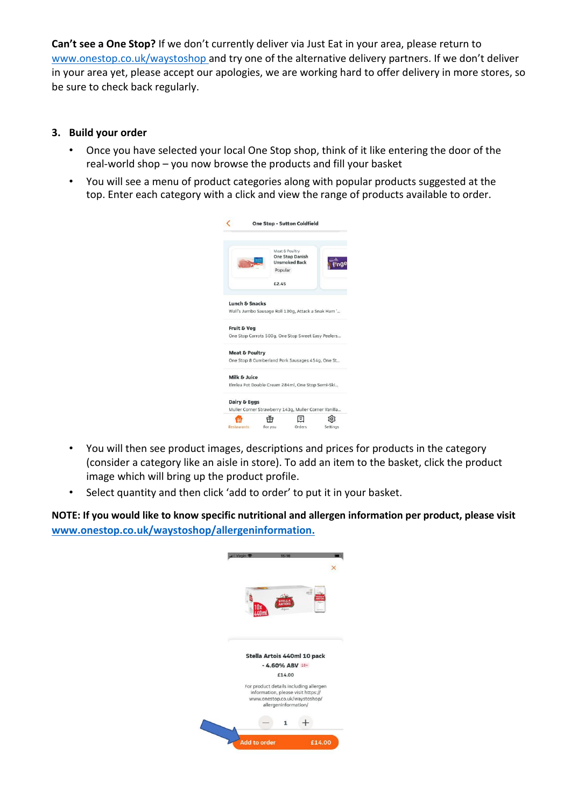**Can't see a One Stop?** If we don't currently deliver via Just Eat in your area, please return to [www.onestop.co.uk/waystoshop](http://www.onestop.co.uk/waystoshop) and try one of the alternative delivery partners. If we don't deliver in your area yet, please accept our apologies, we are working hard to offer delivery in more stores, so be sure to check back regularly.

## **3. Build your order**

- Once you have selected your local One Stop shop, think of it like entering the door of the real-world shop – you now browse the products and fill your basket
- You will see a menu of product categories along with popular products suggested at the top. Enter each category with a click and view the range of products available to order.

|                           | Popular | Meat & Poultry<br><b>One Stop Danish</b><br><b>Unsmoked Back</b> |  |
|---------------------------|---------|------------------------------------------------------------------|--|
|                           | £2.45   |                                                                  |  |
| <b>Lunch &amp; Snacks</b> |         |                                                                  |  |
|                           |         | Wall's Jumbo Sausage Roll 130g, Attack a Snak Ham '              |  |
| <b>Fruit &amp; Veg</b>    |         |                                                                  |  |
|                           |         | One Stop Carrots 500g, One Stop Sweet Easy Peelers               |  |
| <b>Meat &amp; Poultry</b> |         |                                                                  |  |
|                           |         | One Stop 8 Cumberland Pork Sausages 454g, One St                 |  |
| Milk & Juice              |         |                                                                  |  |
|                           |         | Elmlea Pot Double Cream 284ml, One Stop Semi-Ski                 |  |
|                           |         |                                                                  |  |
| Dairy & Eggs              |         |                                                                  |  |

- You will then see product images, descriptions and prices for products in the category (consider a category like an aisle in store). To add an item to the basket, click the product image which will bring up the product profile.
- Select quantity and then click 'add to order' to put it in your basket.

**NOTE: If you would like to know specific nutritional and allergen information per product, please visit [www.onestop.co.uk/waystoshop/allergeninformation.](http://www.onestop.co.uk/waystoshop/allergeninformation.)**

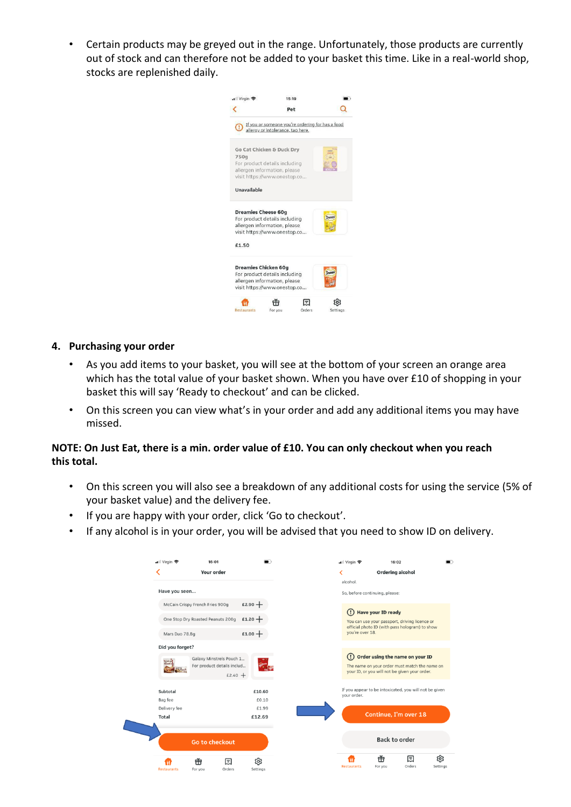• Certain products may be greyed out in the range. Unfortunately, those products are currently out of stock and can therefore not be added to your basket this time. Like in a real-world shop, stocks are replenished daily.



#### **4. Purchasing your order**

- As you add items to your basket, you will see at the bottom of your screen an orange area which has the total value of your basket shown. When you have over £10 of shopping in your basket this will say 'Ready to checkout' and can be clicked.
- On this screen you can view what's in your order and add any additional items you may have missed.

### **NOTE: On Just Eat, there is a min. order value of £10. You can only checkout when you reach this total.**

- On this screen you will also see a breakdown of any additional costs for using the service (5% of your basket value) and the delivery fee.
- If you are happy with your order, click 'Go to checkout'.
- If any alcohol is in your order, you will be advised that you need to show ID on delivery.

| ull Virgin ক<br>16:01                                                       | −               | Virgin <b>주</b>                       | 16:02                                                                                                                             |    |
|-----------------------------------------------------------------------------|-----------------|---------------------------------------|-----------------------------------------------------------------------------------------------------------------------------------|----|
| K<br><b>Your order</b>                                                      |                 | ≺                                     | <b>Ordering alcohol</b>                                                                                                           |    |
| Have you seen                                                               |                 | alcohol.                              | So, before continuing, please:                                                                                                    |    |
| McCain Crispy French Fries 900g                                             | £2.90 $+$       |                                       |                                                                                                                                   |    |
| One Stop Dry Roasted Peanuts 200g                                           | $£1.20 +$       | $\left( \left. \cdot \right. \right)$ | <b>Have your ID ready</b><br>You can use your passport, driving licence or<br>official photo ID (with pass hologram) to show      |    |
| Mars Duo 78.8g                                                              | $£1.00 +$       | you're over 18.                       |                                                                                                                                   |    |
| Did you forget?                                                             |                 |                                       |                                                                                                                                   |    |
| Galaxy Minstrels Pouch 1<br>Chut<br>For product details includ<br>£2.40 $+$ |                 | $\left( \left  \right  \right)$       | Order using the name on your ID<br>The name on your order must match the name on<br>your ID, or you will not be given your order. |    |
| Subtotal                                                                    | £10.60          | your order.                           | If you appear to be intoxicated, you will not be given                                                                            |    |
| Bag fee                                                                     | £0.10           |                                       |                                                                                                                                   |    |
| Delivery fee<br>Total                                                       | £1.99<br>£12.69 |                                       | Continue, I'm over 18                                                                                                             |    |
| <b>Go to checkout</b>                                                       |                 |                                       | <b>Back to order</b>                                                                                                              |    |
| 击<br>$\boxdot$                                                              | গু              | <b>Restaurants</b>                    | 击<br>凨<br>Orders<br>For you                                                                                                       | গু |